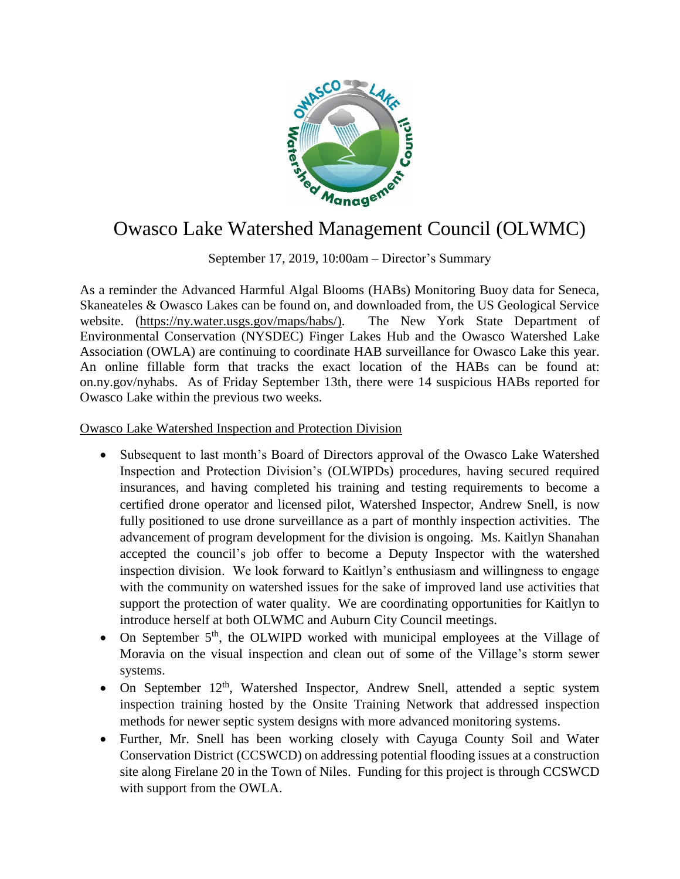

## Owasco Lake Watershed Management Council (OLWMC)

September 17, 2019, 10:00am – Director's Summary

As a reminder the Advanced Harmful Algal Blooms (HABs) Monitoring Buoy data for Seneca, Skaneateles & Owasco Lakes can be found on, and downloaded from, the US Geological Service website. [\(https://ny.water.usgs.gov/maps/habs/\)](https://ny.water.usgs.gov/maps/habs/). The New York State Department of Environmental Conservation (NYSDEC) Finger Lakes Hub and the Owasco Watershed Lake Association (OWLA) are continuing to coordinate HAB surveillance for Owasco Lake this year. An online fillable form that tracks the exact location of the HABs can be found at: on.ny.gov/nyhabs. As of Friday September 13th, there were 14 suspicious HABs reported for Owasco Lake within the previous two weeks.

## Owasco Lake Watershed Inspection and Protection Division

- Subsequent to last month's Board of Directors approval of the Owasco Lake Watershed Inspection and Protection Division's (OLWIPDs) procedures, having secured required insurances, and having completed his training and testing requirements to become a certified drone operator and licensed pilot, Watershed Inspector, Andrew Snell, is now fully positioned to use drone surveillance as a part of monthly inspection activities. The advancement of program development for the division is ongoing. Ms. Kaitlyn Shanahan accepted the council's job offer to become a Deputy Inspector with the watershed inspection division. We look forward to Kaitlyn's enthusiasm and willingness to engage with the community on watershed issues for the sake of improved land use activities that support the protection of water quality. We are coordinating opportunities for Kaitlyn to introduce herself at both OLWMC and Auburn City Council meetings.
- On September  $5<sup>th</sup>$ , the OLWIPD worked with municipal employees at the Village of Moravia on the visual inspection and clean out of some of the Village's storm sewer systems.
- On September 12<sup>th</sup>, Watershed Inspector, Andrew Snell, attended a septic system inspection training hosted by the Onsite Training Network that addressed inspection methods for newer septic system designs with more advanced monitoring systems.
- Further, Mr. Snell has been working closely with Cayuga County Soil and Water Conservation District (CCSWCD) on addressing potential flooding issues at a construction site along Firelane 20 in the Town of Niles. Funding for this project is through CCSWCD with support from the OWLA.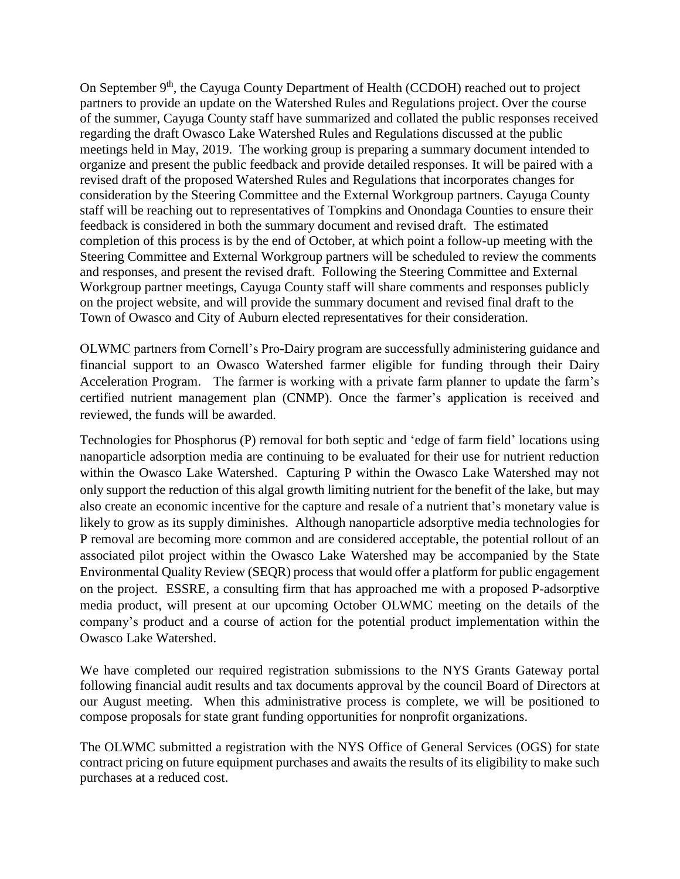On September 9<sup>th</sup>, the Cayuga County Department of Health (CCDOH) reached out to project partners to provide an update on the Watershed Rules and Regulations project. Over the course of the summer, Cayuga County staff have summarized and collated the public responses received regarding the draft Owasco Lake Watershed Rules and Regulations discussed at the public meetings held in May, 2019. The working group is preparing a summary document intended to organize and present the public feedback and provide detailed responses. It will be paired with a revised draft of the proposed Watershed Rules and Regulations that incorporates changes for consideration by the Steering Committee and the External Workgroup partners. Cayuga County staff will be reaching out to representatives of Tompkins and Onondaga Counties to ensure their feedback is considered in both the summary document and revised draft. The estimated completion of this process is by the end of October, at which point a follow-up meeting with the Steering Committee and External Workgroup partners will be scheduled to review the comments and responses, and present the revised draft. Following the Steering Committee and External Workgroup partner meetings, Cayuga County staff will share comments and responses publicly on the project website, and will provide the summary document and revised final draft to the Town of Owasco and City of Auburn elected representatives for their consideration.

OLWMC partners from Cornell's Pro-Dairy program are successfully administering guidance and financial support to an Owasco Watershed farmer eligible for funding through their Dairy Acceleration Program. The farmer is working with a private farm planner to update the farm's certified nutrient management plan (CNMP). Once the farmer's application is received and reviewed, the funds will be awarded.

Technologies for Phosphorus (P) removal for both septic and 'edge of farm field' locations using nanoparticle adsorption media are continuing to be evaluated for their use for nutrient reduction within the Owasco Lake Watershed. Capturing P within the Owasco Lake Watershed may not only support the reduction of this algal growth limiting nutrient for the benefit of the lake, but may also create an economic incentive for the capture and resale of a nutrient that's monetary value is likely to grow as its supply diminishes. Although nanoparticle adsorptive media technologies for P removal are becoming more common and are considered acceptable, the potential rollout of an associated pilot project within the Owasco Lake Watershed may be accompanied by the State Environmental Quality Review (SEQR) process that would offer a platform for public engagement on the project. ESSRE, a consulting firm that has approached me with a proposed P-adsorptive media product, will present at our upcoming October OLWMC meeting on the details of the company's product and a course of action for the potential product implementation within the Owasco Lake Watershed.

We have completed our required registration submissions to the NYS Grants Gateway portal following financial audit results and tax documents approval by the council Board of Directors at our August meeting. When this administrative process is complete, we will be positioned to compose proposals for state grant funding opportunities for nonprofit organizations.

The OLWMC submitted a registration with the NYS Office of General Services (OGS) for state contract pricing on future equipment purchases and awaits the results of its eligibility to make such purchases at a reduced cost.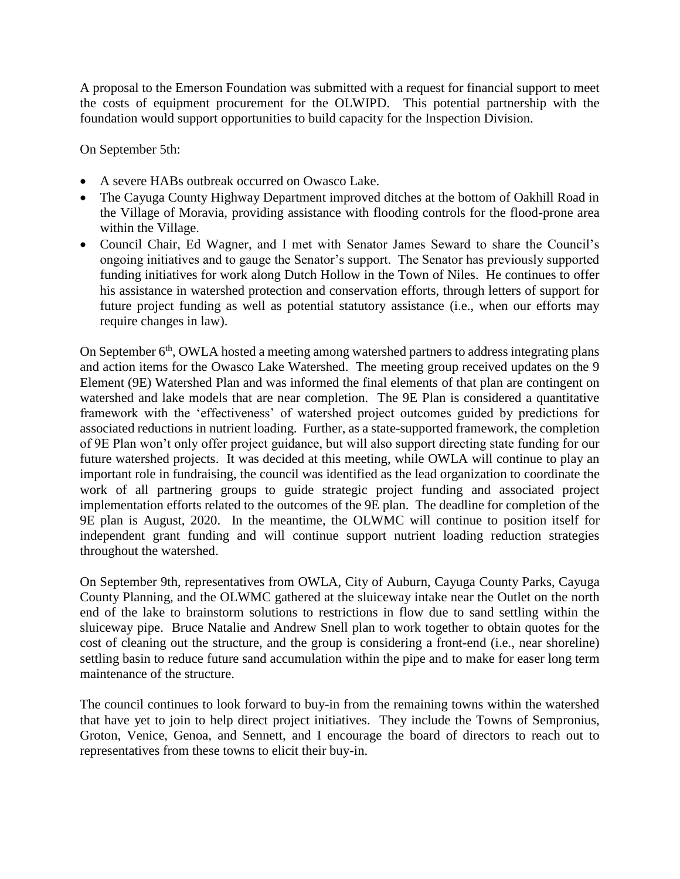A proposal to the Emerson Foundation was submitted with a request for financial support to meet the costs of equipment procurement for the OLWIPD. This potential partnership with the foundation would support opportunities to build capacity for the Inspection Division.

On September 5th:

- A severe HABs outbreak occurred on Owasco Lake.
- The Cayuga County Highway Department improved ditches at the bottom of Oakhill Road in the Village of Moravia, providing assistance with flooding controls for the flood-prone area within the Village.
- Council Chair, Ed Wagner, and I met with Senator James Seward to share the Council's ongoing initiatives and to gauge the Senator's support. The Senator has previously supported funding initiatives for work along Dutch Hollow in the Town of Niles. He continues to offer his assistance in watershed protection and conservation efforts, through letters of support for future project funding as well as potential statutory assistance (i.e., when our efforts may require changes in law).

On September 6<sup>th</sup>, OWLA hosted a meeting among watershed partners to address integrating plans and action items for the Owasco Lake Watershed. The meeting group received updates on the 9 Element (9E) Watershed Plan and was informed the final elements of that plan are contingent on watershed and lake models that are near completion. The 9E Plan is considered a quantitative framework with the 'effectiveness' of watershed project outcomes guided by predictions for associated reductions in nutrient loading. Further, as a state-supported framework, the completion of 9E Plan won't only offer project guidance, but will also support directing state funding for our future watershed projects. It was decided at this meeting, while OWLA will continue to play an important role in fundraising, the council was identified as the lead organization to coordinate the work of all partnering groups to guide strategic project funding and associated project implementation efforts related to the outcomes of the 9E plan. The deadline for completion of the 9E plan is August, 2020. In the meantime, the OLWMC will continue to position itself for independent grant funding and will continue support nutrient loading reduction strategies throughout the watershed.

On September 9th, representatives from OWLA, City of Auburn, Cayuga County Parks, Cayuga County Planning, and the OLWMC gathered at the sluiceway intake near the Outlet on the north end of the lake to brainstorm solutions to restrictions in flow due to sand settling within the sluiceway pipe. Bruce Natalie and Andrew Snell plan to work together to obtain quotes for the cost of cleaning out the structure, and the group is considering a front-end (i.e., near shoreline) settling basin to reduce future sand accumulation within the pipe and to make for easer long term maintenance of the structure.

The council continues to look forward to buy-in from the remaining towns within the watershed that have yet to join to help direct project initiatives. They include the Towns of Sempronius, Groton, Venice, Genoa, and Sennett, and I encourage the board of directors to reach out to representatives from these towns to elicit their buy-in.